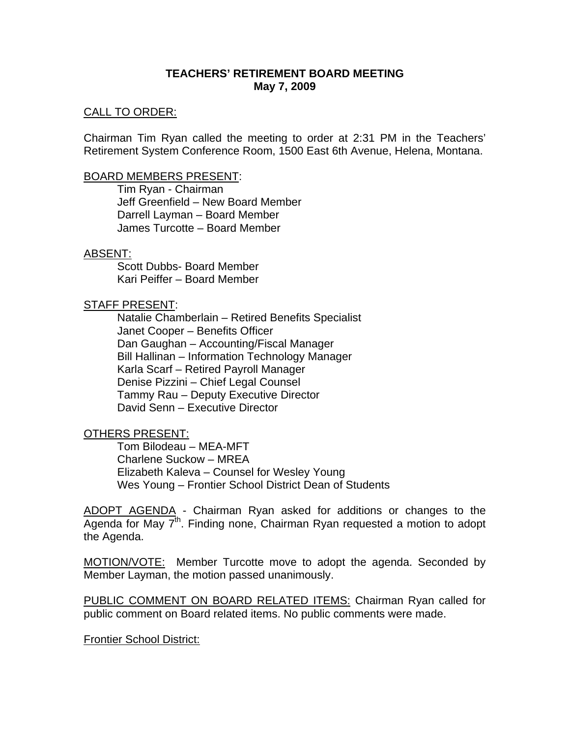## **TEACHERS' RETIREMENT BOARD MEETING May 7, 2009**

### CALL TO ORDER:

Chairman Tim Ryan called the meeting to order at 2:31 PM in the Teachers' Retirement System Conference Room, 1500 East 6th Avenue, Helena, Montana.

#### BOARD MEMBERS PRESENT:

Tim Ryan - Chairman Jeff Greenfield – New Board Member Darrell Layman – Board Member James Turcotte – Board Member

#### ABSENT:

Scott Dubbs- Board Member Kari Peiffer – Board Member

### STAFF PRESENT:

Natalie Chamberlain – Retired Benefits Specialist Janet Cooper – Benefits Officer Dan Gaughan – Accounting/Fiscal Manager Bill Hallinan – Information Technology Manager Karla Scarf – Retired Payroll Manager Denise Pizzini – Chief Legal Counsel Tammy Rau – Deputy Executive Director David Senn – Executive Director

### OTHERS PRESENT:

Tom Bilodeau – MEA-MFT Charlene Suckow – MREA Elizabeth Kaleva – Counsel for Wesley Young Wes Young – Frontier School District Dean of Students

ADOPT AGENDA - Chairman Ryan asked for additions or changes to the Agenda for May  $7<sup>th</sup>$ . Finding none, Chairman Ryan requested a motion to adopt the Agenda.

MOTION/VOTE: Member Turcotte move to adopt the agenda. Seconded by Member Layman, the motion passed unanimously.

PUBLIC COMMENT ON BOARD RELATED ITEMS: Chairman Ryan called for public comment on Board related items. No public comments were made.

Frontier School District: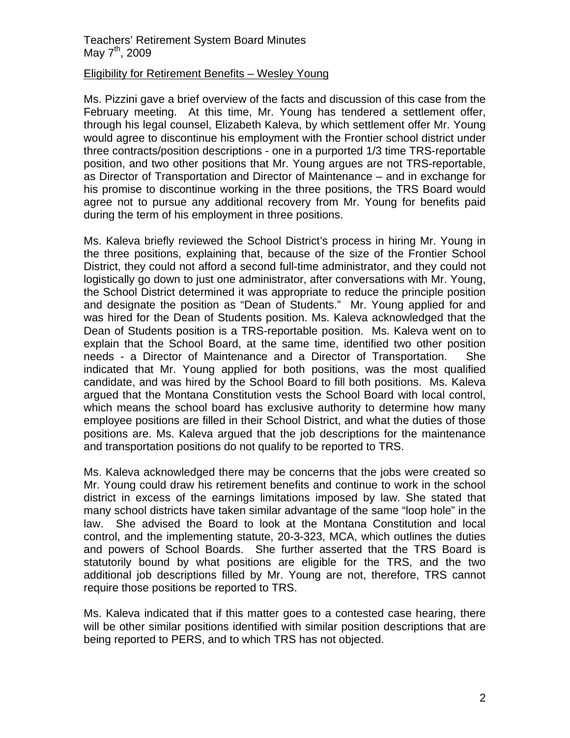# Teachers' Retirement System Board Minutes May  $7^{th}$ , 2009

### Eligibility for Retirement Benefits – Wesley Young

Ms. Pizzini gave a brief overview of the facts and discussion of this case from the February meeting. At this time, Mr. Young has tendered a settlement offer, through his legal counsel, Elizabeth Kaleva, by which settlement offer Mr. Young would agree to discontinue his employment with the Frontier school district under three contracts/position descriptions - one in a purported 1/3 time TRS-reportable position, and two other positions that Mr. Young argues are not TRS-reportable, as Director of Transportation and Director of Maintenance – and in exchange for his promise to discontinue working in the three positions, the TRS Board would agree not to pursue any additional recovery from Mr. Young for benefits paid during the term of his employment in three positions.

Ms. Kaleva briefly reviewed the School District's process in hiring Mr. Young in the three positions, explaining that, because of the size of the Frontier School District, they could not afford a second full-time administrator, and they could not logistically go down to just one administrator, after conversations with Mr. Young, the School District determined it was appropriate to reduce the principle position and designate the position as "Dean of Students." Mr. Young applied for and was hired for the Dean of Students position. Ms. Kaleva acknowledged that the Dean of Students position is a TRS-reportable position. Ms. Kaleva went on to explain that the School Board, at the same time, identified two other position needs - a Director of Maintenance and a Director of Transportation. She indicated that Mr. Young applied for both positions, was the most qualified candidate, and was hired by the School Board to fill both positions. Ms. Kaleva argued that the Montana Constitution vests the School Board with local control, which means the school board has exclusive authority to determine how many employee positions are filled in their School District, and what the duties of those positions are. Ms. Kaleva argued that the job descriptions for the maintenance and transportation positions do not qualify to be reported to TRS.

Ms. Kaleva acknowledged there may be concerns that the jobs were created so Mr. Young could draw his retirement benefits and continue to work in the school district in excess of the earnings limitations imposed by law. She stated that many school districts have taken similar advantage of the same "loop hole" in the law. She advised the Board to look at the Montana Constitution and local control, and the implementing statute, 20-3-323, MCA, which outlines the duties and powers of School Boards. She further asserted that the TRS Board is statutorily bound by what positions are eligible for the TRS, and the two additional job descriptions filled by Mr. Young are not, therefore, TRS cannot require those positions be reported to TRS.

Ms. Kaleva indicated that if this matter goes to a contested case hearing, there will be other similar positions identified with similar position descriptions that are being reported to PERS, and to which TRS has not objected.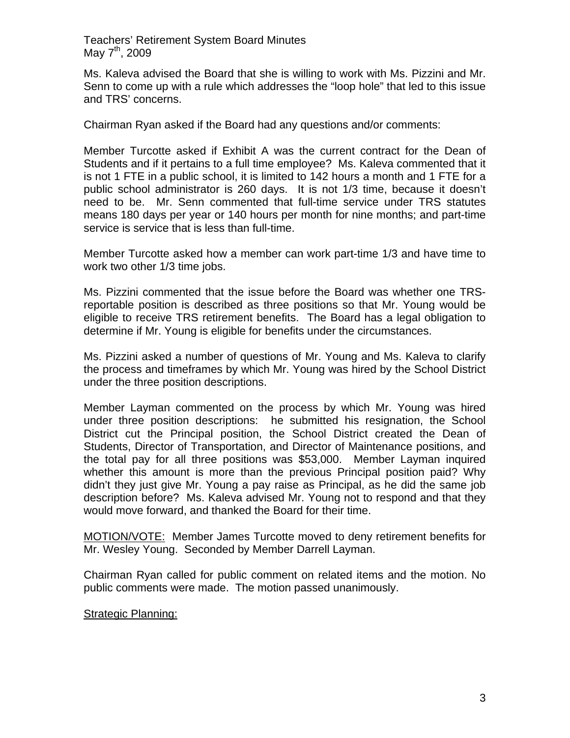Teachers' Retirement System Board Minutes May  $7^{th}$ , 2009

Ms. Kaleva advised the Board that she is willing to work with Ms. Pizzini and Mr. Senn to come up with a rule which addresses the "loop hole" that led to this issue and TRS' concerns.

Chairman Ryan asked if the Board had any questions and/or comments:

Member Turcotte asked if Exhibit A was the current contract for the Dean of Students and if it pertains to a full time employee? Ms. Kaleva commented that it is not 1 FTE in a public school, it is limited to 142 hours a month and 1 FTE for a public school administrator is 260 days. It is not 1/3 time, because it doesn't need to be. Mr. Senn commented that full-time service under TRS statutes means 180 days per year or 140 hours per month for nine months; and part-time service is service that is less than full-time.

Member Turcotte asked how a member can work part-time 1/3 and have time to work two other 1/3 time jobs.

Ms. Pizzini commented that the issue before the Board was whether one TRSreportable position is described as three positions so that Mr. Young would be eligible to receive TRS retirement benefits. The Board has a legal obligation to determine if Mr. Young is eligible for benefits under the circumstances.

Ms. Pizzini asked a number of questions of Mr. Young and Ms. Kaleva to clarify the process and timeframes by which Mr. Young was hired by the School District under the three position descriptions.

Member Layman commented on the process by which Mr. Young was hired under three position descriptions: he submitted his resignation, the School District cut the Principal position, the School District created the Dean of Students, Director of Transportation, and Director of Maintenance positions, and the total pay for all three positions was \$53,000. Member Layman inquired whether this amount is more than the previous Principal position paid? Why didn't they just give Mr. Young a pay raise as Principal, as he did the same job description before? Ms. Kaleva advised Mr. Young not to respond and that they would move forward, and thanked the Board for their time.

MOTION/VOTE: Member James Turcotte moved to deny retirement benefits for Mr. Wesley Young. Seconded by Member Darrell Layman.

Chairman Ryan called for public comment on related items and the motion. No public comments were made. The motion passed unanimously.

# Strategic Planning: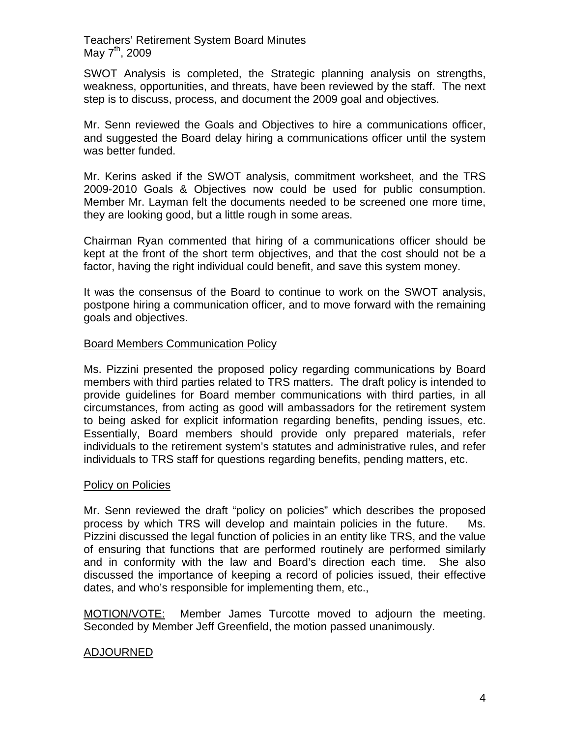Teachers' Retirement System Board Minutes May  $7^{th}$ , 2009

SWOT Analysis is completed, the Strategic planning analysis on strengths, weakness, opportunities, and threats, have been reviewed by the staff. The next step is to discuss, process, and document the 2009 goal and objectives.

Mr. Senn reviewed the Goals and Objectives to hire a communications officer, and suggested the Board delay hiring a communications officer until the system was better funded.

Mr. Kerins asked if the SWOT analysis, commitment worksheet, and the TRS 2009-2010 Goals & Objectives now could be used for public consumption. Member Mr. Layman felt the documents needed to be screened one more time, they are looking good, but a little rough in some areas.

Chairman Ryan commented that hiring of a communications officer should be kept at the front of the short term objectives, and that the cost should not be a factor, having the right individual could benefit, and save this system money.

It was the consensus of the Board to continue to work on the SWOT analysis, postpone hiring a communication officer, and to move forward with the remaining goals and objectives.

## Board Members Communication Policy

Ms. Pizzini presented the proposed policy regarding communications by Board members with third parties related to TRS matters. The draft policy is intended to provide guidelines for Board member communications with third parties, in all circumstances, from acting as good will ambassadors for the retirement system to being asked for explicit information regarding benefits, pending issues, etc. Essentially, Board members should provide only prepared materials, refer individuals to the retirement system's statutes and administrative rules, and refer individuals to TRS staff for questions regarding benefits, pending matters, etc.

### Policy on Policies

Mr. Senn reviewed the draft "policy on policies" which describes the proposed process by which TRS will develop and maintain policies in the future. Ms. Pizzini discussed the legal function of policies in an entity like TRS, and the value of ensuring that functions that are performed routinely are performed similarly and in conformity with the law and Board's direction each time. She also discussed the importance of keeping a record of policies issued, their effective dates, and who's responsible for implementing them, etc.,

MOTION/VOTE: Member James Turcotte moved to adjourn the meeting. Seconded by Member Jeff Greenfield, the motion passed unanimously.

# ADJOURNED